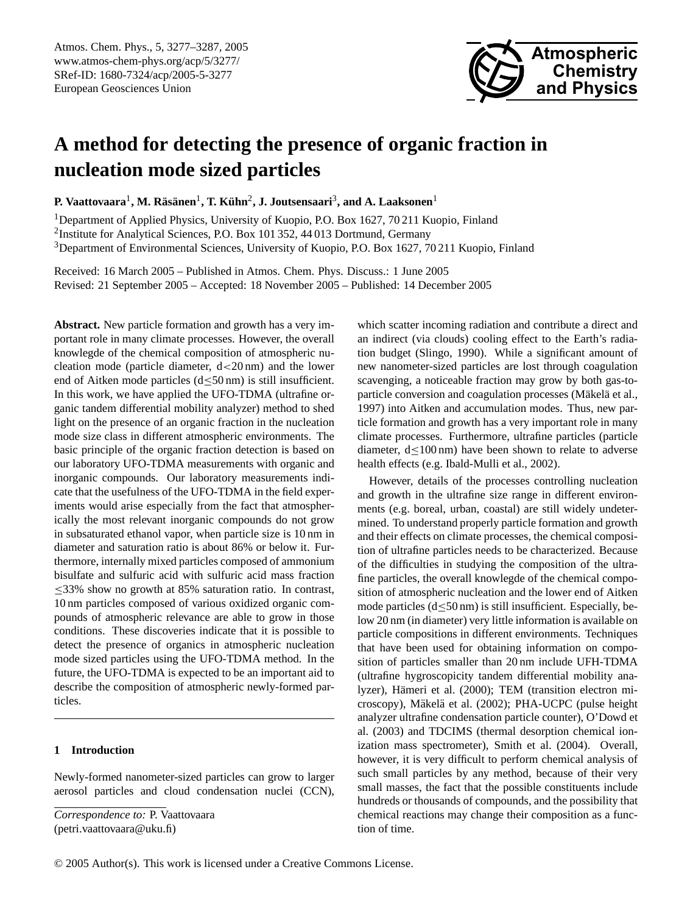

# **A method for detecting the presence of organic fraction in nucleation mode sized particles**

**P.** Vaattovaara<sup>1</sup>, M. Räsänen<sup>1</sup>, T. Kühn<sup>2</sup>, J. Joutsensaari<sup>3</sup>, and A. Laaksonen<sup>1</sup>

<sup>1</sup>Department of Applied Physics, University of Kuopio, P.O. Box 1627, 70 211 Kuopio, Finland <sup>2</sup>Institute for Analytical Sciences, P.O. Box 101 352, 44 013 Dortmund, Germany <sup>3</sup>Department of Environmental Sciences, University of Kuopio, P.O. Box 1627, 70 211 Kuopio, Finland

Received: 16 March 2005 – Published in Atmos. Chem. Phys. Discuss.: 1 June 2005 Revised: 21 September 2005 – Accepted: 18 November 2005 – Published: 14 December 2005

**Abstract.** New particle formation and growth has a very important role in many climate processes. However, the overall knowlegde of the chemical composition of atmospheric nucleation mode (particle diameter, d<20 nm) and the lower end of Aitken mode particles (d≤50 nm) is still insufficient. In this work, we have applied the UFO-TDMA (ultrafine organic tandem differential mobility analyzer) method to shed light on the presence of an organic fraction in the nucleation mode size class in different atmospheric environments. The basic principle of the organic fraction detection is based on our laboratory UFO-TDMA measurements with organic and inorganic compounds. Our laboratory measurements indicate that the usefulness of the UFO-TDMA in the field experiments would arise especially from the fact that atmospherically the most relevant inorganic compounds do not grow in subsaturated ethanol vapor, when particle size is 10 nm in diameter and saturation ratio is about 86% or below it. Furthermore, internally mixed particles composed of ammonium bisulfate and sulfuric acid with sulfuric acid mass fraction ≤33% show no growth at 85% saturation ratio. In contrast, 10 nm particles composed of various oxidized organic compounds of atmospheric relevance are able to grow in those conditions. These discoveries indicate that it is possible to detect the presence of organics in atmospheric nucleation mode sized particles using the UFO-TDMA method. In the future, the UFO-TDMA is expected to be an important aid to describe the composition of atmospheric newly-formed particles.

## **1 Introduction**

Newly-formed nanometer-sized particles can grow to larger aerosol particles and cloud condensation nuclei (CCN), which scatter incoming radiation and contribute a direct and an indirect (via clouds) cooling effect to the Earth's radiation budget (Slingo, 1990). While a significant amount of new nanometer-sized particles are lost through coagulation scavenging, a noticeable fraction may grow by both gas-toparticle conversion and coagulation processes (Mäkelä et al., 1997) into Aitken and accumulation modes. Thus, new particle formation and growth has a very important role in many climate processes. Furthermore, ultrafine particles (particle diameter, d≤100 nm) have been shown to relate to adverse health effects (e.g. Ibald-Mulli et al., 2002).

However, details of the processes controlling nucleation and growth in the ultrafine size range in different environments (e.g. boreal, urban, coastal) are still widely undetermined. To understand properly particle formation and growth and their effects on climate processes, the chemical composition of ultrafine particles needs to be characterized. Because of the difficulties in studying the composition of the ultrafine particles, the overall knowlegde of the chemical composition of atmospheric nucleation and the lower end of Aitken mode particles  $(d \leq 50 \text{ nm})$  is still insufficient. Especially, below 20 nm (in diameter) very little information is available on particle compositions in different environments. Techniques that have been used for obtaining information on composition of particles smaller than 20 nm include UFH-TDMA (ultrafine hygroscopicity tandem differential mobility analyzer), Hämeri et al. (2000); TEM (transition electron microscopy), Mäkelä et al. (2002); PHA-UCPC (pulse height analyzer ultrafine condensation particle counter), O'Dowd et al. (2003) and TDCIMS (thermal desorption chemical ionization mass spectrometer), Smith et al. (2004). Overall, however, it is very difficult to perform chemical analysis of such small particles by any method, because of their very small masses, the fact that the possible constituents include hundreds or thousands of compounds, and the possibility that chemical reactions may change their composition as a function of time.

<span id="page-0-0"></span>*Correspondence to:* P. Vaattovaara (petri.vaattovaara@uku.fi)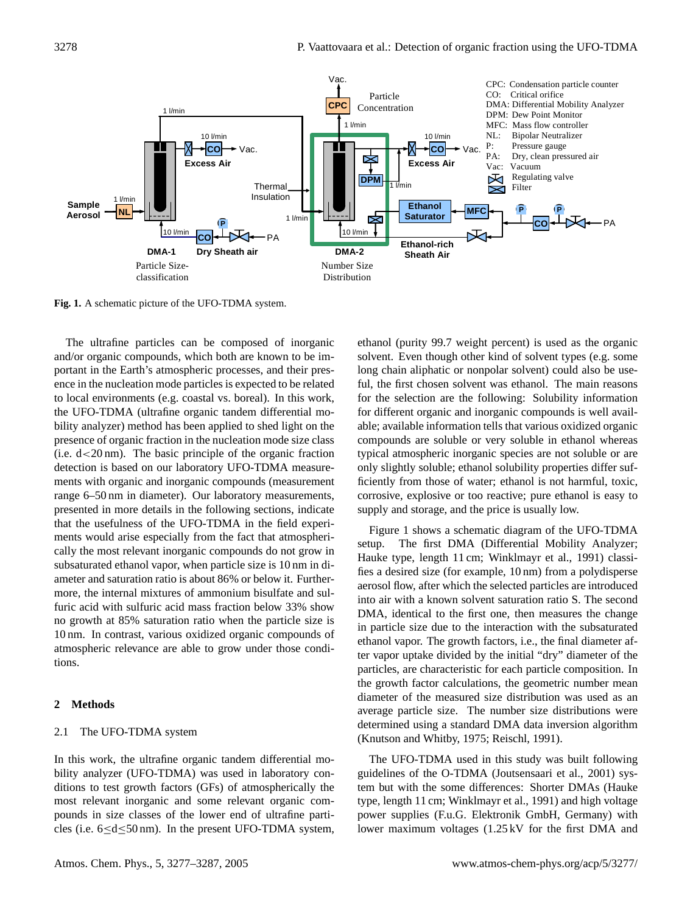

**Fig. 1.** A schematic picture of the UFO-TDMA system.

The ultrafine particles can be composed of inorganic and/or organic compounds, which both are known to be important in the Earth's atmospheric processes, and their presence in the nucleation mode particles is expected to be related to local environments (e.g. coastal vs. boreal). In this work, the UFO-TDMA (ultrafine organic tandem differential mobility analyzer) method has been applied to shed light on the presence of organic fraction in the nucleation mode size class  $(i.e. d < 20 \text{ nm})$ . The basic principle of the organic fraction detection is based on our laboratory UFO-TDMA measurements with organic and inorganic compounds (measurement range 6–50 nm in diameter). Our laboratory measurements, presented in more details in the following sections, indicate that the usefulness of the UFO-TDMA in the field experiments would arise especially from the fact that atmospherically the most relevant inorganic compounds do not grow in subsaturated ethanol vapor, when particle size is 10 nm in diameter and saturation ratio is about 86% or below it. Furthermore, the internal mixtures of ammonium bisulfate and sulfuric acid with sulfuric acid mass fraction below 33% show no growth at 85% saturation ratio when the particle size is 10 nm. In contrast, various oxidized organic compounds of atmospheric relevance are able to grow under those conditions.

#### **2 Methods**

#### 2.1 The UFO-TDMA system

In this work, the ultrafine organic tandem differential mobility analyzer (UFO-TDMA) was used in laboratory conditions to test growth factors (GFs) of atmospherically the most relevant inorganic and some relevant organic compounds in size classes of the lower end of ultrafine particles (i.e.  $6 \le d \le 50 \text{ nm}$ ). In the present UFO-TDMA system, ethanol (purity 99.7 weight percent) is used as the organic solvent. Even though other kind of solvent types (e.g. some long chain aliphatic or nonpolar solvent) could also be useful, the first chosen solvent was ethanol. The main reasons for the selection are the following: Solubility information for different organic and inorganic compounds is well available; available information tells that various oxidized organic compounds are soluble or very soluble in ethanol whereas typical atmospheric inorganic species are not soluble or are only slightly soluble; ethanol solubility properties differ sufficiently from those of water; ethanol is not harmful, toxic, corrosive, explosive or too reactive; pure ethanol is easy to supply and storage, and the price is usually low.

Figure 1 shows a schematic diagram of the UFO-TDMA setup. The first DMA (Differential Mobility Analyzer; Hauke type, length 11 cm; Winklmayr et al., 1991) classifies a desired size (for example, 10 nm) from a polydisperse aerosol flow, after which the selected particles are introduced into air with a known solvent saturation ratio S. The second DMA, identical to the first one, then measures the change in particle size due to the interaction with the subsaturated ethanol vapor. The growth factors, i.e., the final diameter after vapor uptake divided by the initial "dry" diameter of the particles, are characteristic for each particle composition. In the growth factor calculations, the geometric number mean diameter of the measured size distribution was used as an average particle size. The number size distributions were determined using a standard DMA data inversion algorithm (Knutson and Whitby, 1975; Reischl, 1991).

The UFO-TDMA used in this study was built following guidelines of the O-TDMA (Joutsensaari et al., 2001) system but with the some differences: Shorter DMAs (Hauke type, length 11 cm; Winklmayr et al., 1991) and high voltage power supplies (F.u.G. Elektronik GmbH, Germany) with lower maximum voltages (1.25 kV for the first DMA and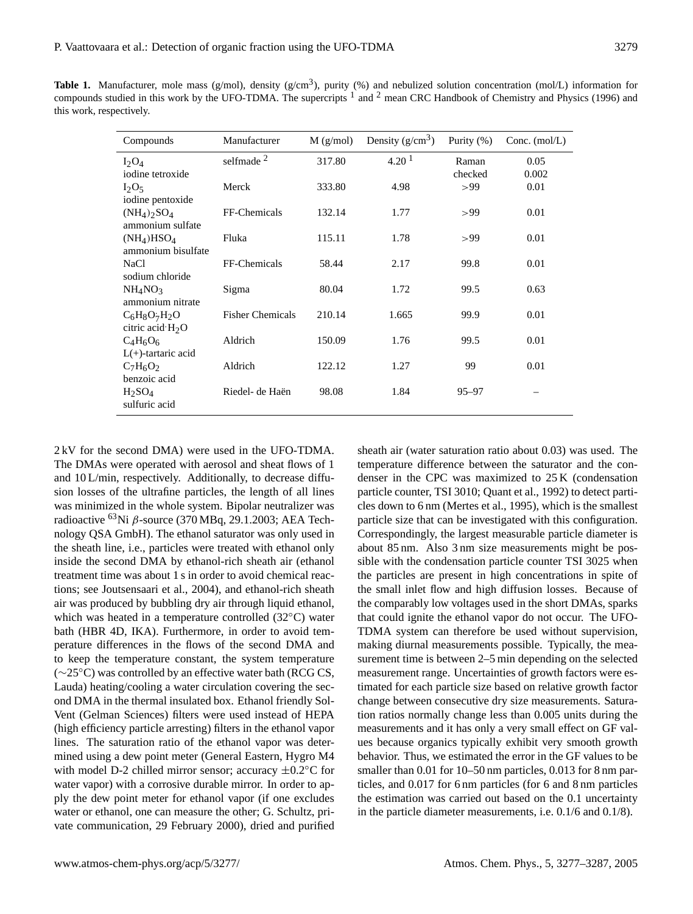Table 1. Manufacturer, mole mass (g/mol), density (g/cm<sup>3</sup>), purity (%) and nebulized solution concentration (mol/L) information for compounds studied in this work by the UFO-TDMA. The supercripts  $1$  and  $2$  mean CRC Handbook of Chemistry and Physics (1996) and this work, respectively.

| Compounds                             | Manufacturer            | $M$ (g/mol) | Density $(g/cm^3)$ | Purity $(\%)$ | Conc. (mol/L) |
|---------------------------------------|-------------------------|-------------|--------------------|---------------|---------------|
| $I_2O_4$                              | selfmade <sup>2</sup>   | 317.80      | 4.20 <sup>1</sup>  | Raman         | 0.05          |
| iodine tetroxide                      |                         |             |                    | checked       | 0.002         |
| $I_2O_5$                              | Merck                   | 333.80      | 4.98               | >99           | 0.01          |
| iodine pentoxide                      |                         |             |                    |               |               |
| $(NH_4)$ <sub>2</sub> SO <sub>4</sub> | FF-Chemicals            | 132.14      | 1.77               | >99           | 0.01          |
| ammonium sulfate                      |                         |             |                    |               |               |
| $(NH_4)HSO_4$                         | Fluka                   | 115.11      | 1.78               | >99           | 0.01          |
| ammonium bisulfate                    |                         |             |                    |               |               |
| <b>NaCl</b>                           | FF-Chemicals            | 58.44       | 2.17               | 99.8          | 0.01          |
| sodium chloride                       |                         |             |                    |               |               |
| NH <sub>4</sub> NO <sub>3</sub>       | Sigma                   | 80.04       | 1.72               | 99.5          | 0.63          |
| ammonium nitrate                      |                         |             |                    |               |               |
| $C_6H_8O_7H_2O$                       | <b>Fisher Chemicals</b> | 210.14      | 1.665              | 99.9          | 0.01          |
| citric acid $H_2O$                    |                         |             |                    |               |               |
| $C_4H_6O_6$                           | Aldrich                 | 150.09      | 1.76               | 99.5          | 0.01          |
| $L(+)$ -tartaric acid                 |                         |             |                    |               |               |
| $C_7H_6O_2$                           | Aldrich                 | 122.12      | 1.27               | 99            | 0.01          |
| benzoic acid                          |                         |             |                    |               |               |
| $H_2SO_4$                             | Riedel- de Haën         | 98.08       | 1.84               | $95 - 97$     |               |
| sulfuric acid                         |                         |             |                    |               |               |
|                                       |                         |             |                    |               |               |

2 kV for the second DMA) were used in the UFO-TDMA. The DMAs were operated with aerosol and sheat flows of 1 and 10 L/min, respectively. Additionally, to decrease diffusion losses of the ultrafine particles, the length of all lines was minimized in the whole system. Bipolar neutralizer was radioactive  $^{63}$ Ni  $\beta$ -source (370 MBq, 29.1.2003; AEA Technology QSA GmbH). The ethanol saturator was only used in the sheath line, i.e., particles were treated with ethanol only inside the second DMA by ethanol-rich sheath air (ethanol treatment time was about 1 s in order to avoid chemical reactions; see Joutsensaari et al., 2004), and ethanol-rich sheath air was produced by bubbling dry air through liquid ethanol, which was heated in a temperature controlled (32◦C) water bath (HBR 4D, IKA). Furthermore, in order to avoid temperature differences in the flows of the second DMA and to keep the temperature constant, the system temperature (∼25◦C) was controlled by an effective water bath (RCG CS, Lauda) heating/cooling a water circulation covering the second DMA in the thermal insulated box. Ethanol friendly Sol-Vent (Gelman Sciences) filters were used instead of HEPA (high efficiency particle arresting) filters in the ethanol vapor lines. The saturation ratio of the ethanol vapor was determined using a dew point meter (General Eastern, Hygro M4 with model D-2 chilled mirror sensor; accuracy  $\pm 0.2$ °C for water vapor) with a corrosive durable mirror. In order to apply the dew point meter for ethanol vapor (if one excludes water or ethanol, one can measure the other; G. Schultz, private communication, 29 February 2000), dried and purified sheath air (water saturation ratio about 0.03) was used. The temperature difference between the saturator and the condenser in the CPC was maximized to 25 K (condensation particle counter, TSI 3010; Quant et al., 1992) to detect particles down to 6 nm (Mertes et al., 1995), which is the smallest particle size that can be investigated with this configuration. Correspondingly, the largest measurable particle diameter is about 85 nm. Also 3 nm size measurements might be possible with the condensation particle counter TSI 3025 when the particles are present in high concentrations in spite of the small inlet flow and high diffusion losses. Because of the comparably low voltages used in the short DMAs, sparks that could ignite the ethanol vapor do not occur. The UFO-TDMA system can therefore be used without supervision, making diurnal measurements possible. Typically, the measurement time is between 2–5 min depending on the selected measurement range. Uncertainties of growth factors were estimated for each particle size based on relative growth factor change between consecutive dry size measurements. Saturation ratios normally change less than 0.005 units during the measurements and it has only a very small effect on GF values because organics typically exhibit very smooth growth behavior. Thus, we estimated the error in the GF values to be smaller than 0.01 for 10–50 nm particles, 0.013 for 8 nm particles, and 0.017 for 6 nm particles (for 6 and 8 nm particles the estimation was carried out based on the 0.1 uncertainty in the particle diameter measurements, i.e. 0.1/6 and 0.1/8).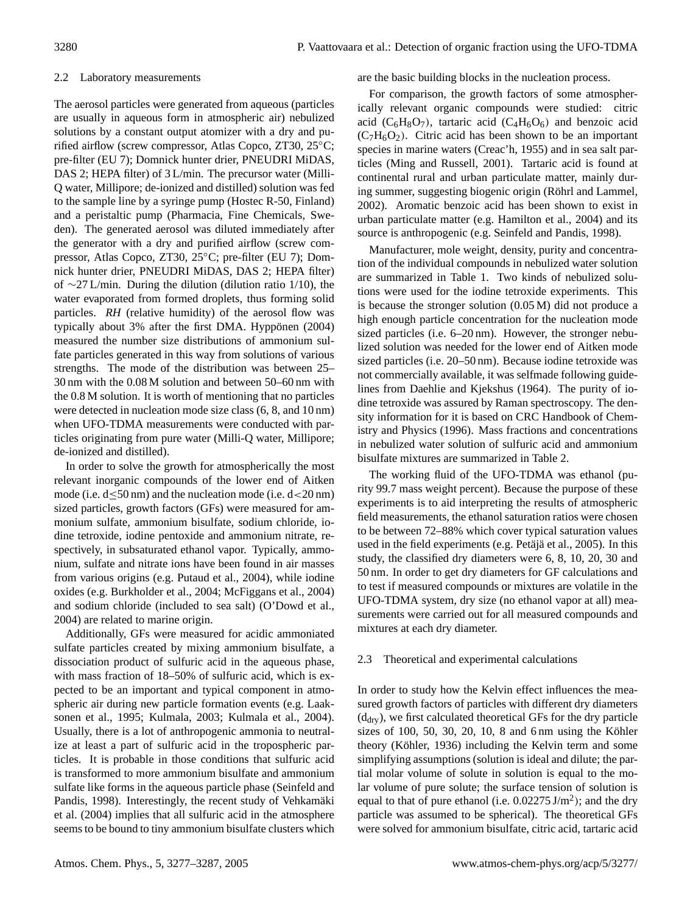## 2.2 Laboratory measurements

The aerosol particles were generated from aqueous (particles are usually in aqueous form in atmospheric air) nebulized solutions by a constant output atomizer with a dry and purified airflow (screw compressor, Atlas Copco, ZT30, 25◦C; pre-filter (EU 7); Domnick hunter drier, PNEUDRI MiDAS, DAS 2; HEPA filter) of 3 L/min. The precursor water (Milli-Q water, Millipore; de-ionized and distilled) solution was fed to the sample line by a syringe pump (Hostec R-50, Finland) and a peristaltic pump (Pharmacia, Fine Chemicals, Sweden). The generated aerosol was diluted immediately after the generator with a dry and purified airflow (screw compressor, Atlas Copco, ZT30, 25◦C; pre-filter (EU 7); Domnick hunter drier, PNEUDRI MiDAS, DAS 2; HEPA filter) of ∼27 L/min. During the dilution (dilution ratio 1/10), the water evaporated from formed droplets, thus forming solid particles. *RH* (relative humidity) of the aerosol flow was typically about 3% after the first DMA. Hyppönen (2004) measured the number size distributions of ammonium sulfate particles generated in this way from solutions of various strengths. The mode of the distribution was between 25– 30 nm with the 0.08 M solution and between 50–60 nm with the 0.8 M solution. It is worth of mentioning that no particles were detected in nucleation mode size class (6, 8, and 10 nm) when UFO-TDMA measurements were conducted with particles originating from pure water (Milli-Q water, Millipore; de-ionized and distilled).

In order to solve the growth for atmospherically the most relevant inorganic compounds of the lower end of Aitken mode (i.e.  $d \leq 50 \text{ nm}$ ) and the nucleation mode (i.e.  $d < 20 \text{ nm}$ ) sized particles, growth factors (GFs) were measured for ammonium sulfate, ammonium bisulfate, sodium chloride, iodine tetroxide, iodine pentoxide and ammonium nitrate, respectively, in subsaturated ethanol vapor. Typically, ammonium, sulfate and nitrate ions have been found in air masses from various origins (e.g. Putaud et al., 2004), while iodine oxides (e.g. Burkholder et al., 2004; McFiggans et al., 2004) and sodium chloride (included to sea salt) (O'Dowd et al., 2004) are related to marine origin.

Additionally, GFs were measured for acidic ammoniated sulfate particles created by mixing ammonium bisulfate, a dissociation product of sulfuric acid in the aqueous phase, with mass fraction of 18–50% of sulfuric acid, which is expected to be an important and typical component in atmospheric air during new particle formation events (e.g. Laaksonen et al., 1995; Kulmala, 2003; Kulmala et al., 2004). Usually, there is a lot of anthropogenic ammonia to neutralize at least a part of sulfuric acid in the tropospheric particles. It is probable in those conditions that sulfuric acid is transformed to more ammonium bisulfate and ammonium sulfate like forms in the aqueous particle phase (Seinfeld and Pandis, 1998). Interestingly, the recent study of Vehkamäki et al. (2004) implies that all sulfuric acid in the atmosphere seems to be bound to tiny ammonium bisulfate clusters which are the basic building blocks in the nucleation process.

For comparison, the growth factors of some atmospherically relevant organic compounds were studied: citric acid ( $C_6H_8O_7$ ), tartaric acid ( $C_4H_6O_6$ ) and benzoic acid  $(C_7H_6O_2)$ . Citric acid has been shown to be an important species in marine waters (Creac'h, 1955) and in sea salt particles (Ming and Russell, 2001). Tartaric acid is found at continental rural and urban particulate matter, mainly during summer, suggesting biogenic origin (Röhrl and Lammel, 2002). Aromatic benzoic acid has been shown to exist in urban particulate matter (e.g. Hamilton et al., 2004) and its source is anthropogenic (e.g. Seinfeld and Pandis, 1998).

Manufacturer, mole weight, density, purity and concentration of the individual compounds in nebulized water solution are summarized in Table 1. Two kinds of nebulized solutions were used for the iodine tetroxide experiments. This is because the stronger solution (0.05 M) did not produce a high enough particle concentration for the nucleation mode sized particles (i.e. 6–20 nm). However, the stronger nebulized solution was needed for the lower end of Aitken mode sized particles (i.e. 20–50 nm). Because iodine tetroxide was not commercially available, it was selfmade following guidelines from Daehlie and Kjekshus (1964). The purity of iodine tetroxide was assured by Raman spectroscopy. The density information for it is based on CRC Handbook of Chemistry and Physics (1996). Mass fractions and concentrations in nebulized water solution of sulfuric acid and ammonium bisulfate mixtures are summarized in Table 2.

The working fluid of the UFO-TDMA was ethanol (purity 99.7 mass weight percent). Because the purpose of these experiments is to aid interpreting the results of atmospheric field measurements, the ethanol saturation ratios were chosen to be between 72–88% which cover typical saturation values used in the field experiments (e.g. Petajä et al., 2005). In this study, the classified dry diameters were 6, 8, 10, 20, 30 and 50 nm. In order to get dry diameters for GF calculations and to test if measured compounds or mixtures are volatile in the UFO-TDMA system, dry size (no ethanol vapor at all) measurements were carried out for all measured compounds and mixtures at each dry diameter.

#### 2.3 Theoretical and experimental calculations

In order to study how the Kelvin effect influences the measured growth factors of particles with different dry diameters  $(d<sub>dry</sub>)$ , we first calculated theoretical GFs for the dry particle sizes of 100, 50, 30, 20, 10, 8 and 6 nm using the Köhler theory (Köhler, 1936) including the Kelvin term and some simplifying assumptions (solution is ideal and dilute; the partial molar volume of solute in solution is equal to the molar volume of pure solute; the surface tension of solution is equal to that of pure ethanol (i.e.  $0.02275 \text{ J/m}^2$ ); and the dry particle was assumed to be spherical). The theoretical GFs were solved for ammonium bisulfate, citric acid, tartaric acid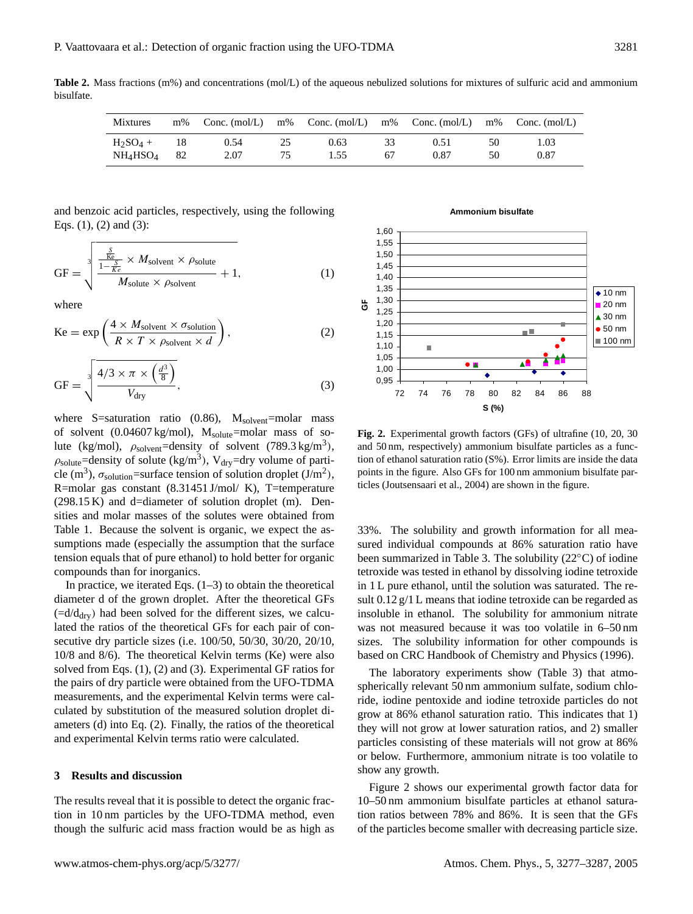**Table 2.** Mass fractions (m%) and concentrations (mol/L) of the aqueous nebulized solutions for mixtures of sulfuric acid and ammonium bisulfate.

| <b>Mixtures</b>                  | $m\%$ | Conc. $(mol/L)$ | m% |      |    | Conc. $(mol/L)$ m% Conc. $(mol/L)$ | m% | Conc. $(mol/L)$ |
|----------------------------------|-------|-----------------|----|------|----|------------------------------------|----|-----------------|
| $H_2SO_4 +$                      | - 18  | 0.54            | 25 | 0.63 | 33 | 0.51                               | 50 | . 03            |
| NH <sub>4</sub> HSO <sub>4</sub> | 82    | 2.07            | 75 | 1.55 | 67 | 0.87                               | 50 | 0.87            |

and benzoic acid particles, respectively, using the following Eqs. (1), (2) and (3):

$$
GF = \sqrt[3]{\frac{\frac{S}{1 - \frac{S}{Ke}} \times M_{\text{solvent}} \times \rho_{\text{solute}}}{M_{\text{solute}} \times \rho_{\text{solvent}}} + 1},
$$
 (1)

where

$$
Ke = \exp\left(\frac{4 \times M_{\text{solvent}} \times \sigma_{\text{solution}}}{R \times T \times \rho_{\text{solvent}} \times d}\right),\tag{2}
$$

$$
GF = \sqrt[3]{\frac{4/3 \times \pi \times \left(\frac{d^3}{8}\right)}{V_{\text{dry}}}},
$$
\n(3)

where S=saturation ratio  $(0.86)$ ,  $M_{solvent}$ =molar mass of solvent  $(0.04607 \text{ kg/mol})$ ,  $M_{\text{solute}}$ =molar mass of solute (kg/mol),  $\rho_{\text{solvent}} =$ density of solvent (789.3 kg/m<sup>3</sup>),  $\rho_{\text{solute}} =$ density of solute (kg/m<sup>3</sup>), V<sub>dry</sub>=dry volume of particle (m<sup>3</sup>),  $\sigma_{\text{solution}}$ =surface tension of solution droplet (J/m<sup>2</sup>), R=molar gas constant (8.31451 J/mol/ K), T=temperature (298.15 K) and d=diameter of solution droplet (m). Densities and molar masses of the solutes were obtained from Table 1. Because the solvent is organic, we expect the assumptions made (especially the assumption that the surface tension equals that of pure ethanol) to hold better for organic compounds than for inorganics.

In practice, we iterated Eqs.  $(1-3)$  to obtain the theoretical diameter d of the grown droplet. After the theoretical GFs  $(=d/d<sub>dry</sub>)$  had been solved for the different sizes, we calculated the ratios of the theoretical GFs for each pair of consecutive dry particle sizes (i.e. 100/50, 50/30, 30/20, 20/10, 10/8 and 8/6). The theoretical Kelvin terms (Ke) were also solved from Eqs. (1), (2) and (3). Experimental GF ratios for the pairs of dry particle were obtained from the UFO-TDMA measurements, and the experimental Kelvin terms were calculated by substitution of the measured solution droplet diameters (d) into Eq. (2). Finally, the ratios of the theoretical and experimental Kelvin terms ratio were calculated.

#### **3 Results and discussion**

The results reveal that it is possible to detect the organic fraction in 10 nm particles by the UFO-TDMA method, even though the sulfuric acid mass fraction would be as high as

#### **Ammonium bisulfate**



**Fig. 2.** Experimental growth factors (GFs) of ultrafine (10, 20, 30 and 50 nm, respectively) ammonium bisulfate particles as a function of ethanol saturation ratio (S%). Error limits are inside the data points in the figure. Also GFs for 100 nm ammonium bisulfate particles (Joutsensaari et al., 2004) are shown in the figure.

33%. The solubility and growth information for all measured individual compounds at 86% saturation ratio have been summarized in Table 3. The solubility (22◦C) of iodine tetroxide was tested in ethanol by dissolving iodine tetroxide in 1 L pure ethanol, until the solution was saturated. The result 0.12 g/1 L means that iodine tetroxide can be regarded as insoluble in ethanol. The solubility for ammonium nitrate was not measured because it was too volatile in 6–50 nm sizes. The solubility information for other compounds is based on CRC Handbook of Chemistry and Physics (1996).

The laboratory experiments show (Table 3) that atmospherically relevant 50 nm ammonium sulfate, sodium chloride, iodine pentoxide and iodine tetroxide particles do not grow at 86% ethanol saturation ratio. This indicates that 1) they will not grow at lower saturation ratios, and 2) smaller particles consisting of these materials will not grow at 86% or below. Furthermore, ammonium nitrate is too volatile to show any growth.

Figure 2 shows our experimental growth factor data for 10–50 nm ammonium bisulfate particles at ethanol saturation ratios between 78% and 86%. It is seen that the GFs of the particles become smaller with decreasing particle size.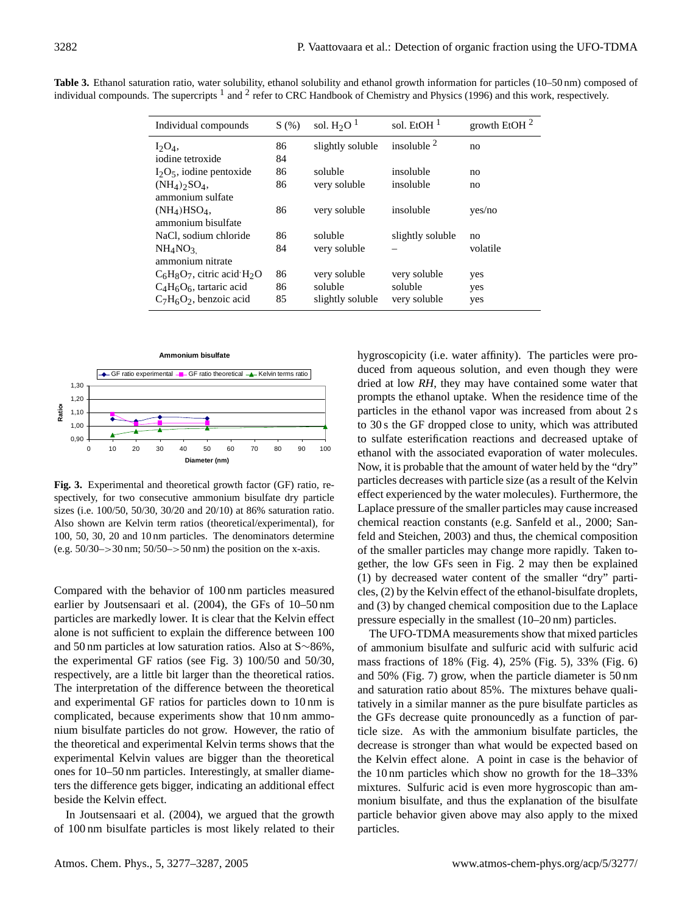| Individual compounds                                        | S(%) | sol. $H_2O1$     | sol. EtOH $1$    | growth EtOH $^2$ |
|-------------------------------------------------------------|------|------------------|------------------|------------------|
| $I_2O_4$ ,                                                  | 86   | slightly soluble | insoluble $2$    | no               |
| iodine tetroxide                                            | 84   |                  |                  |                  |
| $I_2O_5$ , iodine pentoxide                                 | 86   | soluble          | insoluble        | no               |
| $(NH_4)$ <sub>2</sub> SO <sub>4</sub> ,<br>ammonium sulfate | 86   | very soluble     | insoluble        | no               |
| $(NH4)HSO4$ ,<br>ammonium bisulfate                         | 86   | very soluble     | insoluble        | yes/no           |
| NaCl, sodium chloride                                       | 86   | soluble          | slightly soluble | no               |
| NH <sub>4</sub> NO <sub>3</sub><br>ammonium nitrate         | 84   | very soluble     |                  | volatile         |
| $C_6H_8O_7$ , citric acid $H_2O$                            | 86   | very soluble     | very soluble     | yes              |
| $C_4H_6O_6$ , tartaric acid                                 | 86   | soluble          | soluble          | yes              |
| $C_7H_6O_2$ , benzoic acid                                  | 85   | slightly soluble | very soluble     | yes              |

**Table 3.** Ethanol saturation ratio, water solubility, ethanol solubility and ethanol growth information for particles (10–50 nm) composed of individual compounds. The supercripts <sup>1</sup> and <sup>2</sup> refer to CRC Handbook of Chemistry and Physics (1996) and this work, respectively.



**Fig. 3.** Experimental and theoretical growth factor (GF) ratio, respectively, for two consecutive ammonium bisulfate dry particle sizes (i.e. 100/50, 50/30, 30/20 and 20/10) at 86% saturation ratio. Also shown are Kelvin term ratios (theoretical/experimental), for 100, 50, 30, 20 and 10 nm particles. The denominators determine (e.g.  $50/30$ –>30 nm;  $50/50$ –>50 nm) the position on the x-axis.

Compared with the behavior of 100 nm particles measured earlier by Joutsensaari et al. (2004), the GFs of 10–50 nm particles are markedly lower. It is clear that the Kelvin effect alone is not sufficient to explain the difference between 100 and 50 nm particles at low saturation ratios. Also at S∼86%, the experimental GF ratios (see Fig. 3) 100/50 and 50/30, respectively, are a little bit larger than the theoretical ratios. The interpretation of the difference between the theoretical and experimental GF ratios for particles down to 10 nm is complicated, because experiments show that 10 nm ammonium bisulfate particles do not grow. However, the ratio of the theoretical and experimental Kelvin terms shows that the experimental Kelvin values are bigger than the theoretical ones for 10–50 nm particles. Interestingly, at smaller diameters the difference gets bigger, indicating an additional effect beside the Kelvin effect.

In Joutsensaari et al. (2004), we argued that the growth of 100 nm bisulfate particles is most likely related to their hygroscopicity (i.e. water affinity). The particles were produced from aqueous solution, and even though they were dried at low *RH*, they may have contained some water that prompts the ethanol uptake. When the residence time of the particles in the ethanol vapor was increased from about 2 s to 30 s the GF dropped close to unity, which was attributed to sulfate esterification reactions and decreased uptake of ethanol with the associated evaporation of water molecules. Now, it is probable that the amount of water held by the "dry" particles decreases with particle size (as a result of the Kelvin effect experienced by the water molecules). Furthermore, the Laplace pressure of the smaller particles may cause increased chemical reaction constants (e.g. Sanfeld et al., 2000; Sanfeld and Steichen, 2003) and thus, the chemical composition of the smaller particles may change more rapidly. Taken together, the low GFs seen in Fig. 2 may then be explained (1) by decreased water content of the smaller "dry" particles, (2) by the Kelvin effect of the ethanol-bisulfate droplets, and (3) by changed chemical composition due to the Laplace pressure especially in the smallest (10–20 nm) particles.

The UFO-TDMA measurements show that mixed particles of ammonium bisulfate and sulfuric acid with sulfuric acid mass fractions of 18% (Fig. 4), 25% (Fig. 5), 33% (Fig. 6) and 50% (Fig. 7) grow, when the particle diameter is 50 nm and saturation ratio about 85%. The mixtures behave qualitatively in a similar manner as the pure bisulfate particles as the GFs decrease quite pronouncedly as a function of particle size. As with the ammonium bisulfate particles, the decrease is stronger than what would be expected based on the Kelvin effect alone. A point in case is the behavior of the 10 nm particles which show no growth for the 18–33% mixtures. Sulfuric acid is even more hygroscopic than ammonium bisulfate, and thus the explanation of the bisulfate particle behavior given above may also apply to the mixed particles.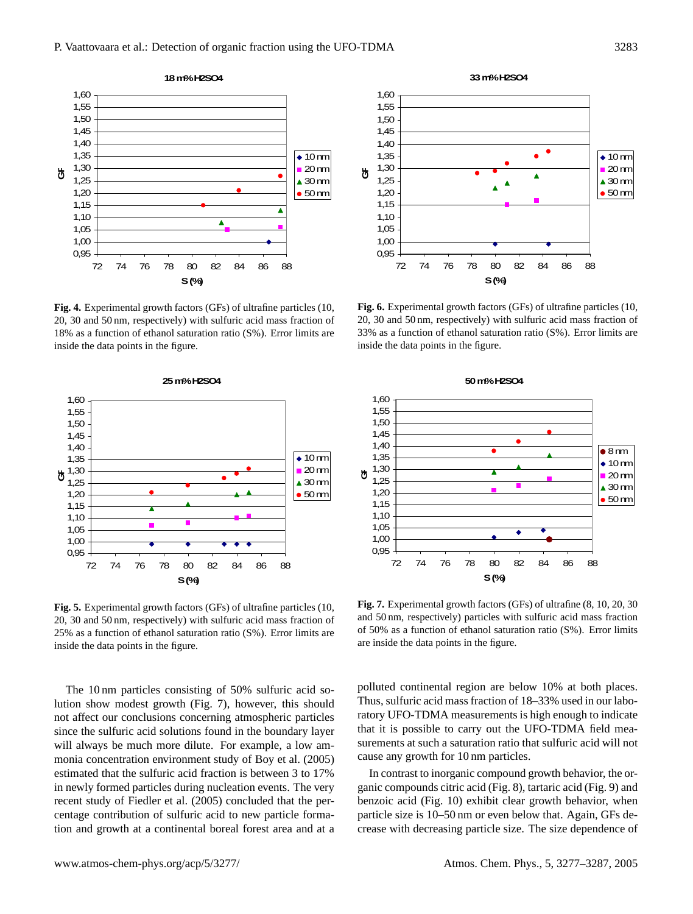

**Fig. 4.** Experimental growth factors (GFs) of ultrafine particles (10, 20, 30 and 50 nm, respectively) with sulfuric acid mass fraction of 18% as a function of ethanol saturation ratio (S%). Error limits are inside the data points in the figure.



**Fig. 5.** Experimental growth factors (GFs) of ultrafine particles (10, 20, 30 and 50 nm, respectively) with sulfuric acid mass fraction of 25% as a function of ethanol saturation ratio (S%). Error limits are inside the data points in the figure.

The 10 nm particles consisting of 50% sulfuric acid solution show modest growth (Fig. 7), however, this should not affect our conclusions concerning atmospheric particles since the sulfuric acid solutions found in the boundary layer will always be much more dilute. For example, a low ammonia concentration environment study of Boy et al. (2005) estimated that the sulfuric acid fraction is between 3 to 17% in newly formed particles during nucleation events. The very recent study of Fiedler et al. (2005) concluded that the percentage contribution of sulfuric acid to new particle formation and growth at a continental boreal forest area and at a



**Fig. 6.** Experimental growth factors (GFs) of ultrafine particles (10, 20, 30 and 50 nm, respectively) with sulfuric acid mass fraction of 33% as a function of ethanol saturation ratio (S%). Error limits are inside the data points in the figure.



**Fig. 7.** Experimental growth factors (GFs) of ultrafine (8, 10, 20, 30 and 50 nm, respectively) particles with sulfuric acid mass fraction of 50% as a function of ethanol saturation ratio (S%). Error limits are inside the data points in the figure.

polluted continental region are below 10% at both places. Thus, sulfuric acid mass fraction of 18–33% used in our laboratory UFO-TDMA measurements is high enough to indicate that it is possible to carry out the UFO-TDMA field measurements at such a saturation ratio that sulfuric acid will not cause any growth for 10 nm particles.

In contrast to inorganic compound growth behavior, the organic compounds citric acid (Fig. 8), tartaric acid (Fig. 9) and benzoic acid (Fig. 10) exhibit clear growth behavior, when particle size is 10–50 nm or even below that. Again, GFs decrease with decreasing particle size. The size dependence of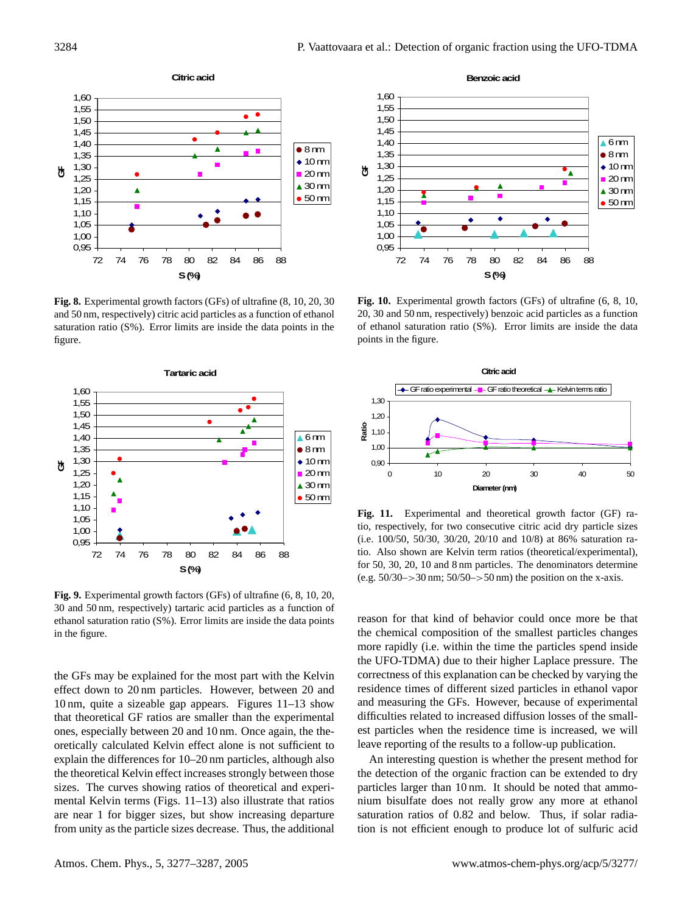

**Fig. 8.** Experimental growth factors (GFs) of ultrafine (8, 10, 20, 30 and 50 nm, respectively) citric acid particles as a function of ethanol saturation ratio (S%). Error limits are inside the data points in the figure.



**Fig. 9.** Experimental growth factors (GFs) of ultrafine (6, 8, 10, 20, 30 and 50 nm, respectively) tartaric acid particles as a function of ethanol saturation ratio (S%). Error limits are inside the data points in the figure.

the GFs may be explained for the most part with the Kelvin effect down to 20 nm particles. However, between 20 and 10 nm, quite a sizeable gap appears. Figures 11–13 show that theoretical GF ratios are smaller than the experimental ones, especially between 20 and 10 nm. Once again, the theoretically calculated Kelvin effect alone is not sufficient to explain the differences for 10–20 nm particles, although also the theoretical Kelvin effect increases strongly between those sizes. The curves showing ratios of theoretical and experimental Kelvin terms (Figs. 11–13) also illustrate that ratios are near 1 for bigger sizes, but show increasing departure from unity as the particle sizes decrease. Thus, the additional



**Fig. 10.** Experimental growth factors (GFs) of ultrafine (6, 8, 10, 20, 30 and 50 nm, respectively) benzoic acid particles as a function of ethanol saturation ratio (S%). Error limits are inside the data points in the figure.



**Fig. 11.** Experimental and theoretical growth factor (GF) ratio, respectively, for two consecutive citric acid dry particle sizes (i.e. 100/50, 50/30, 30/20, 20/10 and 10/8) at 86% saturation ratio. Also shown are Kelvin term ratios (theoretical/experimental), for 50, 30, 20, 10 and 8 nm particles. The denominators determine (e.g.  $50/30$  -> 30 nm;  $50/50$  -> 50 nm) the position on the x-axis.

reason for that kind of behavior could once more be that the chemical composition of the smallest particles changes more rapidly (i.e. within the time the particles spend inside the UFO-TDMA) due to their higher Laplace pressure. The correctness of this explanation can be checked by varying the residence times of different sized particles in ethanol vapor and measuring the GFs. However, because of experimental difficulties related to increased diffusion losses of the smallest particles when the residence time is increased, we will leave reporting of the results to a follow-up publication.

An interesting question is whether the present method for the detection of the organic fraction can be extended to dry particles larger than 10 nm. It should be noted that ammonium bisulfate does not really grow any more at ethanol saturation ratios of 0.82 and below. Thus, if solar radiation is not efficient enough to produce lot of sulfuric acid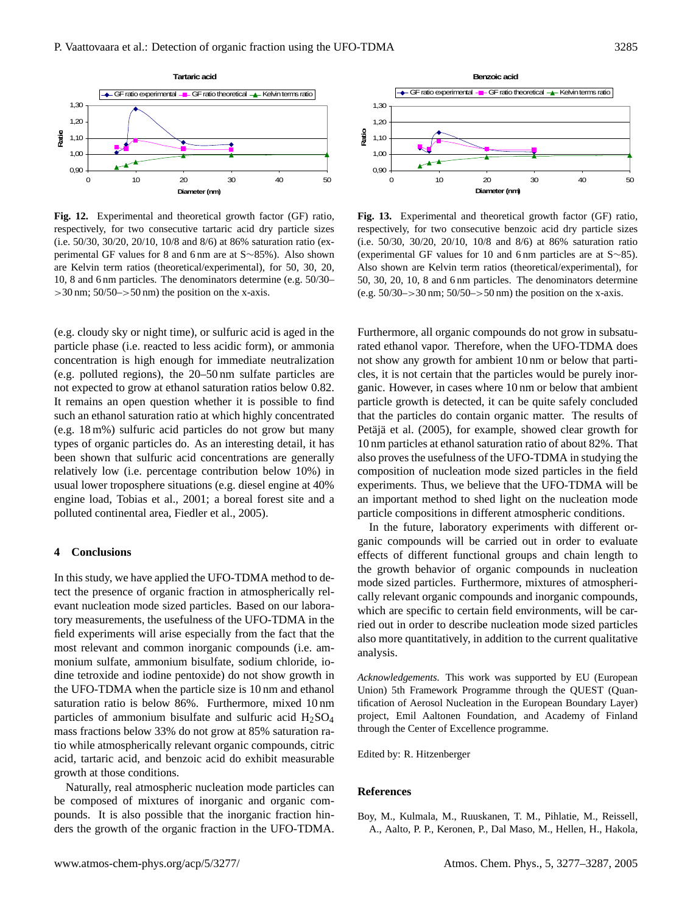

**Fig. 12.** Experimental and theoretical growth factor (GF) ratio, respectively, for two consecutive tartaric acid dry particle sizes (i.e. 50/30, 30/20, 20/10, 10/8 and 8/6) at 86% saturation ratio (experimental GF values for 8 and 6 nm are at S∼85%). Also shown are Kelvin term ratios (theoretical/experimental), for 50, 30, 20, 10, 8 and 6 nm particles. The denominators determine (e.g. 50/30–  $>30$  nm;  $50/50$ - $>50$  nm) the position on the x-axis.

(e.g. cloudy sky or night time), or sulfuric acid is aged in the particle phase (i.e. reacted to less acidic form), or ammonia concentration is high enough for immediate neutralization (e.g. polluted regions), the 20–50 nm sulfate particles are not expected to grow at ethanol saturation ratios below 0.82. It remains an open question whether it is possible to find such an ethanol saturation ratio at which highly concentrated (e.g. 18 m%) sulfuric acid particles do not grow but many types of organic particles do. As an interesting detail, it has been shown that sulfuric acid concentrations are generally relatively low (i.e. percentage contribution below 10%) in usual lower troposphere situations (e.g. diesel engine at 40% engine load, Tobias et al., 2001; a boreal forest site and a polluted continental area, Fiedler et al., 2005).

#### **4 Conclusions**

In this study, we have applied the UFO-TDMA method to detect the presence of organic fraction in atmospherically relevant nucleation mode sized particles. Based on our laboratory measurements, the usefulness of the UFO-TDMA in the field experiments will arise especially from the fact that the most relevant and common inorganic compounds (i.e. ammonium sulfate, ammonium bisulfate, sodium chloride, iodine tetroxide and iodine pentoxide) do not show growth in the UFO-TDMA when the particle size is 10 nm and ethanol saturation ratio is below 86%. Furthermore, mixed 10 nm particles of ammonium bisulfate and sulfuric acid  $H_2SO_4$ mass fractions below 33% do not grow at 85% saturation ratio while atmospherically relevant organic compounds, citric acid, tartaric acid, and benzoic acid do exhibit measurable growth at those conditions.

Naturally, real atmospheric nucleation mode particles can be composed of mixtures of inorganic and organic compounds. It is also possible that the inorganic fraction hinders the growth of the organic fraction in the UFO-TDMA.



**Fig. 13.** Experimental and theoretical growth factor (GF) ratio, respectively, for two consecutive benzoic acid dry particle sizes (i.e. 50/30, 30/20, 20/10, 10/8 and 8/6) at 86% saturation ratio (experimental GF values for 10 and 6 nm particles are at S∼85). Also shown are Kelvin term ratios (theoretical/experimental), for 50, 30, 20, 10, 8 and 6 nm particles. The denominators determine (e.g.  $50/30$  -> 30 nm;  $50/50$  -> 50 nm) the position on the x-axis.

Furthermore, all organic compounds do not grow in subsaturated ethanol vapor. Therefore, when the UFO-TDMA does not show any growth for ambient 10 nm or below that particles, it is not certain that the particles would be purely inorganic. However, in cases where 10 nm or below that ambient particle growth is detected, it can be quite safely concluded that the particles do contain organic matter. The results of Petäjä et al. (2005), for example, showed clear growth for 10 nm particles at ethanol saturation ratio of about 82%. That also proves the usefulness of the UFO-TDMA in studying the composition of nucleation mode sized particles in the field experiments. Thus, we believe that the UFO-TDMA will be an important method to shed light on the nucleation mode particle compositions in different atmospheric conditions.

In the future, laboratory experiments with different organic compounds will be carried out in order to evaluate effects of different functional groups and chain length to the growth behavior of organic compounds in nucleation mode sized particles. Furthermore, mixtures of atmospherically relevant organic compounds and inorganic compounds, which are specific to certain field environments, will be carried out in order to describe nucleation mode sized particles also more quantitatively, in addition to the current qualitative analysis.

*Acknowledgements.* This work was supported by EU (European Union) 5th Framework Programme through the QUEST (Quantification of Aerosol Nucleation in the European Boundary Layer) project, Emil Aaltonen Foundation, and Academy of Finland through the Center of Excellence programme.

Edited by: R. Hitzenberger

#### **References**

Boy, M., Kulmala, M., Ruuskanen, T. M., Pihlatie, M., Reissell, A., Aalto, P. P., Keronen, P., Dal Maso, M., Hellen, H., Hakola,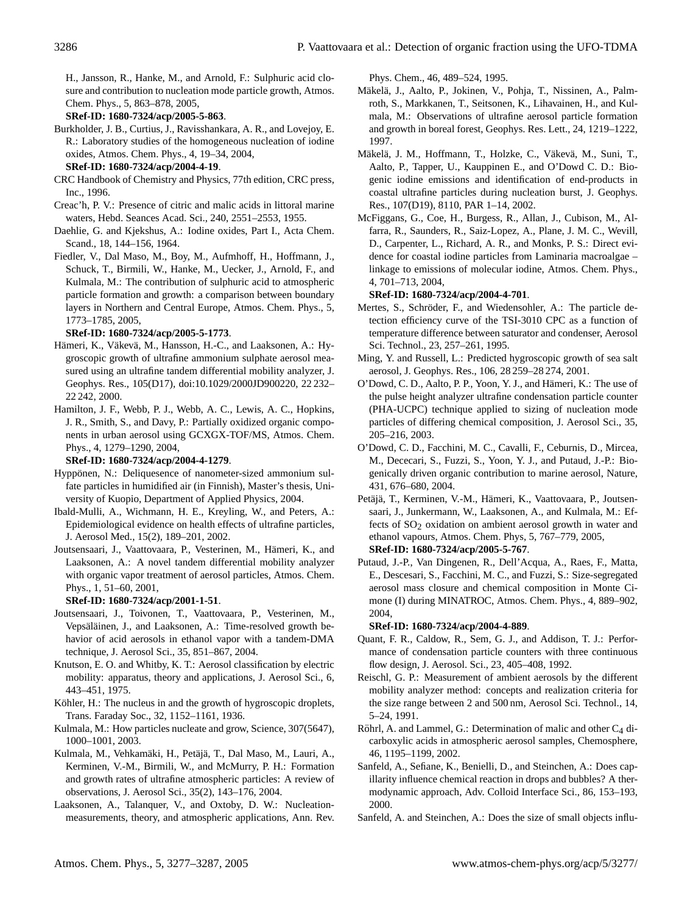H., Jansson, R., Hanke, M., and Arnold, F.: Sulphuric acid closure and contribution to nucleation mode particle growth, Atmos. Chem. Phys., 5, 863–878, 2005,

**[SRef-ID: 1680-7324/acp/2005-5-863](http://direct.sref.org/1680-7324/acp/2005-5-863)**.

- Burkholder, J. B., Curtius, J., Ravisshankara, A. R., and Lovejoy, E. R.: Laboratory studies of the homogeneous nucleation of iodine oxides, Atmos. Chem. Phys., 4, 19–34, 2004, **[SRef-ID: 1680-7324/acp/2004-4-19](http://direct.sref.org/1680-7324/acp/2004-4-19)**.
- CRC Handbook of Chemistry and Physics, 77th edition, CRC press, Inc., 1996.
- Creac'h, P. V.: Presence of citric and malic acids in littoral marine waters, Hebd. Seances Acad. Sci., 240, 2551–2553, 1955.
- Daehlie, G. and Kjekshus, A.: Iodine oxides, Part I., Acta Chem. Scand., 18, 144–156, 1964.
- Fiedler, V., Dal Maso, M., Boy, M., Aufmhoff, H., Hoffmann, J., Schuck, T., Birmili, W., Hanke, M., Uecker, J., Arnold, F., and Kulmala, M.: The contribution of sulphuric acid to atmospheric particle formation and growth: a comparison between boundary layers in Northern and Central Europe, Atmos. Chem. Phys., 5, 1773–1785, 2005,

### **[SRef-ID: 1680-7324/acp/2005-5-1773](http://direct.sref.org/1680-7324/acp/2005-5-1773)**.

- Hämeri, K., Väkevä, M., Hansson, H.-C., and Laaksonen, A.: Hygroscopic growth of ultrafine ammonium sulphate aerosol measured using an ultrafine tandem differential mobility analyzer, J. Geophys. Res., 105(D17), doi:10.1029/2000JD900220, 22 232– 22 242, 2000.
- Hamilton, J. F., Webb, P. J., Webb, A. C., Lewis, A. C., Hopkins, J. R., Smith, S., and Davy, P.: Partially oxidized organic components in urban aerosol using GCXGX-TOF/MS, Atmos. Chem. Phys., 4, 1279–1290, 2004,

#### **[SRef-ID: 1680-7324/acp/2004-4-1279](http://direct.sref.org/1680-7324/acp/2004-4-1279)**.

- Hyppönen, N.: Deliquesence of nanometer-sized ammonium sulfate particles in humidified air (in Finnish), Master's thesis, University of Kuopio, Department of Applied Physics, 2004.
- Ibald-Mulli, A., Wichmann, H. E., Kreyling, W., and Peters, A.: Epidemiological evidence on health effects of ultrafine particles, J. Aerosol Med., 15(2), 189–201, 2002.
- Joutsensaari, J., Vaattovaara, P., Vesterinen, M., Hameri, K., and ¨ Laaksonen, A.: A novel tandem differential mobility analyzer with organic vapor treatment of aerosol particles, Atmos. Chem. Phys., 1, 51–60, 2001,

#### **[SRef-ID: 1680-7324/acp/2001-1-51](http://direct.sref.org/1680-7324/acp/2001-1-51)**.

- Joutsensaari, J., Toivonen, T., Vaattovaara, P., Vesterinen, M., Vepsäläinen, J., and Laaksonen, A.: Time-resolved growth behavior of acid aerosols in ethanol vapor with a tandem-DMA technique, J. Aerosol Sci., 35, 851–867, 2004.
- Knutson, E. O. and Whitby, K. T.: Aerosol classification by electric mobility: apparatus, theory and applications, J. Aerosol Sci., 6, 443–451, 1975.
- Köhler, H.: The nucleus in and the growth of hygroscopic droplets, Trans. Faraday Soc., 32, 1152–1161, 1936.
- Kulmala, M.: How particles nucleate and grow, Science, 307(5647), 1000–1001, 2003.
- Kulmala, M., Vehkamäki, H., Petäjä, T., Dal Maso, M., Lauri, A., Kerminen, V.-M., Birmili, W., and McMurry, P. H.: Formation and growth rates of ultrafine atmospheric particles: A review of observations, J. Aerosol Sci., 35(2), 143–176, 2004.
- Laaksonen, A., Talanquer, V., and Oxtoby, D. W.: Nucleationmeasurements, theory, and atmospheric applications, Ann. Rev.

Phys. Chem., 46, 489–524, 1995.

- Mäkelä, J., Aalto, P., Jokinen, V., Pohja, T., Nissinen, A., Palmroth, S., Markkanen, T., Seitsonen, K., Lihavainen, H., and Kulmala, M.: Observations of ultrafine aerosol particle formation and growth in boreal forest, Geophys. Res. Lett., 24, 1219–1222, 1997.
- Mäkelä, J. M., Hoffmann, T., Holzke, C., Väkevä, M., Suni, T., Aalto, P., Tapper, U., Kauppinen E., and O'Dowd C. D.: Biogenic iodine emissions and identification of end-products in coastal ultrafine particles during nucleation burst, J. Geophys. Res., 107(D19), 8110, PAR 1–14, 2002.
- McFiggans, G., Coe, H., Burgess, R., Allan, J., Cubison, M., Alfarra, R., Saunders, R., Saiz-Lopez, A., Plane, J. M. C., Wevill, D., Carpenter, L., Richard, A. R., and Monks, P. S.: Direct evidence for coastal iodine particles from Laminaria macroalgae – linkage to emissions of molecular iodine, Atmos. Chem. Phys., 4, 701–713, 2004,

### **[SRef-ID: 1680-7324/acp/2004-4-701](http://direct.sref.org/1680-7324/acp/2004-4-701)**.

- Mertes, S., Schröder, F., and Wiedensohler, A.: The particle detection efficiency curve of the TSI-3010 CPC as a function of temperature difference between saturator and condenser, Aerosol Sci. Technol., 23, 257–261, 1995.
- Ming, Y. and Russell, L.: Predicted hygroscopic growth of sea salt aerosol, J. Geophys. Res., 106, 28 259–28 274, 2001.
- O'Dowd, C. D., Aalto, P. P., Yoon, Y. J., and Hämeri, K.: The use of the pulse height analyzer ultrafine condensation particle counter (PHA-UCPC) technique applied to sizing of nucleation mode particles of differing chemical composition, J. Aerosol Sci., 35, 205–216, 2003.
- O'Dowd, C. D., Facchini, M. C., Cavalli, F., Ceburnis, D., Mircea, M., Dececari, S., Fuzzi, S., Yoon, Y. J., and Putaud, J.-P.: Biogenically driven organic contribution to marine aerosol, Nature, 431, 676–680, 2004.
- Petäjä, T., Kerminen, V.-M., Hämeri, K., Vaattovaara, P., Joutsensaari, J., Junkermann, W., Laaksonen, A., and Kulmala, M.: Effects of SO<sub>2</sub> oxidation on ambient aerosol growth in water and ethanol vapours, Atmos. Chem. Phys, 5, 767–779, 2005, **[SRef-ID: 1680-7324/acp/2005-5-767](http://direct.sref.org/1680-7324/acp/2005-5-767)**.
- Putaud, J.-P., Van Dingenen, R., Dell'Acqua, A., Raes, F., Matta, E., Descesari, S., Facchini, M. C., and Fuzzi, S.: Size-segregated aerosol mass closure and chemical composition in Monte Cimone (I) during MINATROC, Atmos. Chem. Phys., 4, 889–902, 2004,

#### **[SRef-ID: 1680-7324/acp/2004-4-889](http://direct.sref.org/1680-7324/acp/2004-4-889)**.

- Quant, F. R., Caldow, R., Sem, G. J., and Addison, T. J.: Performance of condensation particle counters with three continuous flow design, J. Aerosol. Sci., 23, 405–408, 1992.
- Reischl, G. P.: Measurement of ambient aerosols by the different mobility analyzer method: concepts and realization criteria for the size range between 2 and 500 nm, Aerosol Sci. Technol., 14, 5–24, 1991.
- Röhrl, A. and Lammel, G.: Determination of malic and other  $C_4$  dicarboxylic acids in atmospheric aerosol samples, Chemosphere, 46, 1195–1199, 2002.
- Sanfeld, A., Sefiane, K., Benielli, D., and Steinchen, A.: Does capillarity influence chemical reaction in drops and bubbles? A thermodynamic approach, Adv. Colloid Interface Sci., 86, 153–193, 2000.
- Sanfeld, A. and Steinchen, A.: Does the size of small objects influ-